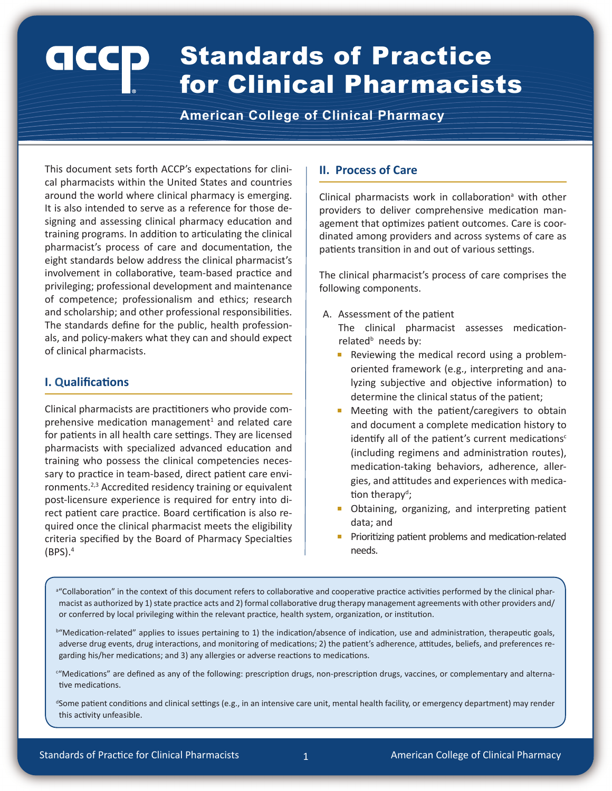# **GCCD** Standards of Practice for Clinical Pharmacists

**American College of Clinical Pharmacy**

This document sets forth ACCP's expectations for clinical pharmacists within the United States and countries around the world where clinical pharmacy is emerging. It is also intended to serve as a reference for those designing and assessing clinical pharmacy education and training programs. In addition to articulating the clinical pharmacist's process of care and documentation, the eight standards below address the clinical pharmacist's involvement in collaborative, team-based practice and privileging; professional development and maintenance of competence; professionalism and ethics; research and scholarship; and other professional responsibilities. The standards define for the public, health professionals, and policy-makers what they can and should expect of clinical pharmacists.

## **I. Qualifications**

Clinical pharmacists are practitioners who provide comprehensive medication management<sup>1</sup> and related care for patients in all health care settings. They are licensed pharmacists with specialized advanced education and training who possess the clinical competencies necessary to practice in team-based, direct patient care environments.<sup>2,3</sup> Accredited residency training or equivalent post-licensure experience is required for entry into direct patient care practice. Board certification is also required once the clinical pharmacist meets the eligibility criteria specified by the Board of Pharmacy Specialties  $(BPS).<sup>4</sup>$ 

## **II. Process of Care**

Clinical pharmacists work in collaboration<sup>a</sup> with other providers to deliver comprehensive medication management that optimizes patient outcomes. Care is coordinated among providers and across systems of care as patients transition in and out of various settings.

The clinical pharmacist's process of care comprises the following components.

A. Assessment of the patient

The clinical pharmacist assesses medicationrelated<sup>b</sup> needs by:

- Reviewing the medical record using a problemoriented framework (e.g., interpreting and analyzing subjective and objective information) to determine the clinical status of the patient;
- Meeting with the patient/caregivers to obtain and document a complete medication history to identify all of the patient's current medications<sup>c</sup> (including regimens and administration routes), medication-taking behaviors, adherence, allergies, and attitudes and experiences with medication therapy<sup>d</sup>;
- Obtaining, organizing, and interpreting patient data; and
- Prioritizing patient problems and medication-related needs.

<sup>a</sup>"Collaboration" in the context of this document refers to collaborative and cooperative practice activities performed by the clinical pharmacist as authorized by 1) state practice acts and 2) formal collaborative drug therapy management agreements with other providers and/ or conferred by local privileging within the relevant practice, health system, organization, or institution.

b "Medication-related" applies to issues pertaining to 1) the indication/absence of indication, use and administration, therapeutic goals, adverse drug events, drug interactions, and monitoring of medications; 2) the patient's adherence, attitudes, beliefs, and preferences regarding his/her medications; and 3) any allergies or adverse reactions to medications.

c "Medications" are defined as any of the following: prescription drugs, non-prescription drugs, vaccines, or complementary and alternative medications.

d Some patient conditions and clinical settings (e.g., in an intensive care unit, mental health facility, or emergency department) may render this activity unfeasible.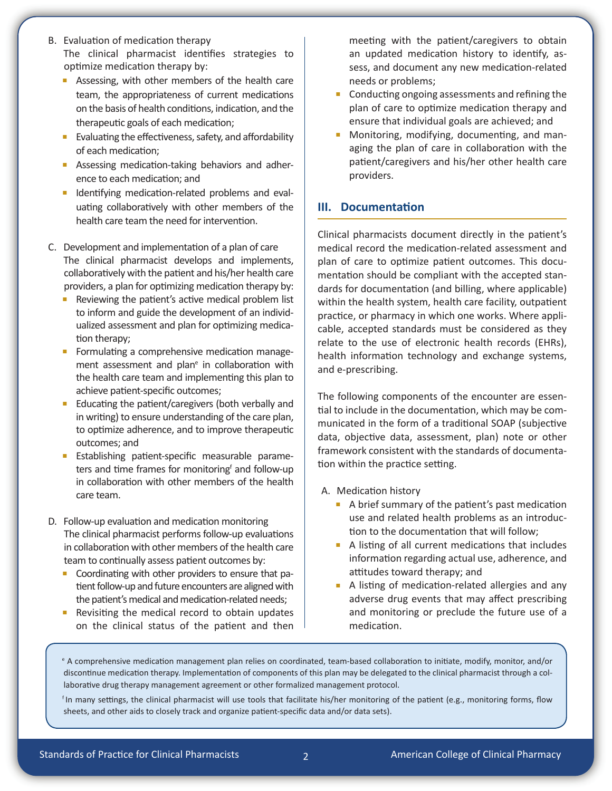- B. Evaluation of medication therapy The clinical pharmacist identifies strategies to optimize medication therapy by:
	- Assessing, with other members of the health care team, the appropriateness of current medications on the basis of health conditions, indication, and the therapeutic goals of each medication;
	- Evaluating the effectiveness, safety, and affordability of each medication;
	- Assessing medication-taking behaviors and adherence to each medication; and
	- Identifying medication-related problems and evaluating collaboratively with other members of the health care team the need for intervention.

C. Development and implementation of a plan of care The clinical pharmacist develops and implements, collaboratively with the patient and his/her health care providers, a plan for optimizing medication therapy by:

- Reviewing the patient's active medical problem list to inform and guide the development of an individualized assessment and plan for optimizing medication therapy;
- Formulating a comprehensive medication management assessment and plan<sup>e</sup> in collaboration with the health care team and implementing this plan to achieve patient-specific outcomes;
- Educating the patient/caregivers (both verbally and in writing) to ensure understanding of the care plan, to optimize adherence, and to improve therapeutic outcomes; and
- Establishing patient-specific measurable parameters and time frames for monitoring<sup>f</sup> and follow-up in collaboration with other members of the health care team.
- D. Follow-up evaluation and medication monitoring The clinical pharmacist performs follow-up evaluations in collaboration with other members of the health care team to continually assess patient outcomes by:
	- Coordinating with other providers to ensure that patient follow-up and future encounters are aligned with the patient's medical and medication-related needs;
	- Revisiting the medical record to obtain updates on the clinical status of the patient and then

meeting with the patient/caregivers to obtain an updated medication history to identify, assess, and document any new medication-related needs or problems;

- Conducting ongoing assessments and refining the plan of care to optimize medication therapy and ensure that individual goals are achieved; and
- Monitoring, modifying, documenting, and managing the plan of care in collaboration with the patient/caregivers and his/her other health care providers.

#### **III. Documentation**

Clinical pharmacists document directly in the patient's medical record the medication-related assessment and plan of care to optimize patient outcomes. This documentation should be compliant with the accepted standards for documentation (and billing, where applicable) within the health system, health care facility, outpatient practice, or pharmacy in which one works. Where applicable, accepted standards must be considered as they relate to the use of electronic health records (EHRs), health information technology and exchange systems, and e-prescribing.

The following components of the encounter are essential to include in the documentation, which may be communicated in the form of a traditional SOAP (subjective data, objective data, assessment, plan) note or other framework consistent with the standards of documentation within the practice setting.

A. Medication history

- A brief summary of the patient's past medication use and related health problems as an introduction to the documentation that will follow;
- A listing of all current medications that includes information regarding actual use, adherence, and attitudes toward therapy; and
- A listing of medication-related allergies and any adverse drug events that may affect prescribing and monitoring or preclude the future use of a medication.

<sup>e</sup> A comprehensive medication management plan relies on coordinated, team-based collaboration to initiate, modify, monitor, and/or discontinue medication therapy. Implementation of components of this plan may be delegated to the clinical pharmacist through a collaborative drug therapy management agreement or other formalized management protocol.

<sup>f</sup> In many settings, the clinical pharmacist will use tools that facilitate his/her monitoring of the patient (e.g., monitoring forms, flow sheets, and other aids to closely track and organize patient-specific data and/or data sets).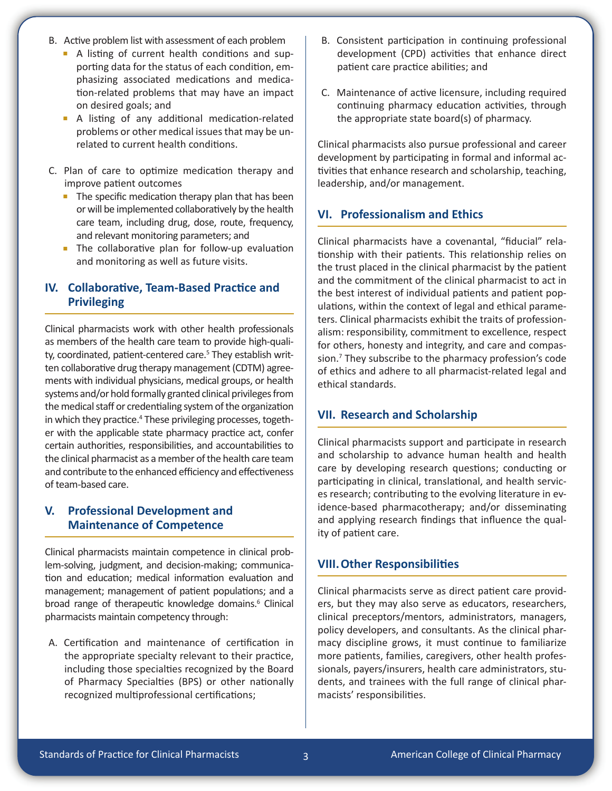- B. Active problem list with assessment of each problem
	- A listing of current health conditions and supporting data for the status of each condition, emphasizing associated medications and medication-related problems that may have an impact on desired goals; and
	- A listing of any additional medication-related problems or other medical issues that may be unrelated to current health conditions.
- C. Plan of care to optimize medication therapy and improve patient outcomes
	- The specific medication therapy plan that has been or will be implemented collaboratively by the health care team, including drug, dose, route, frequency, and relevant monitoring parameters; and
	- The collaborative plan for follow-up evaluation and monitoring as well as future visits.

# **IV. Collaborative, Team-Based Practice and Privileging**

Clinical pharmacists work with other health professionals as members of the health care team to provide high-quality, coordinated, patient-centered care.<sup>5</sup> They establish written collaborative drug therapy management (CDTM) agreements with individual physicians, medical groups, or health systems and/or hold formally granted clinical privileges from the medical staff or credentialing system of the organization in which they practice.<sup>4</sup> These privileging processes, together with the applicable state pharmacy practice act, confer certain authorities, responsibilities, and accountabilities to the clinical pharmacist as a member of the health care team and contribute to the enhanced efficiency and effectiveness of team-based care.

## **V. Professional Development and Maintenance of Competence**

Clinical pharmacists maintain competence in clinical problem-solving, judgment, and decision-making; communication and education; medical information evaluation and management; management of patient populations; and a broad range of therapeutic knowledge domains.<sup>6</sup> Clinical pharmacists maintain competency through:

A. Certification and maintenance of certification in the appropriate specialty relevant to their practice, including those specialties recognized by the Board of Pharmacy Specialties (BPS) or other nationally recognized multiprofessional certifications;

- B. Consistent participation in continuing professional development (CPD) activities that enhance direct patient care practice abilities; and
- C. Maintenance of active licensure, including required continuing pharmacy education activities, through the appropriate state board(s) of pharmacy.

Clinical pharmacists also pursue professional and career development by participating in formal and informal activities that enhance research and scholarship, teaching, leadership, and/or management.

## **VI. Professionalism and Ethics**

Clinical pharmacists have a covenantal, "fiducial" relationship with their patients. This relationship relies on the trust placed in the clinical pharmacist by the patient and the commitment of the clinical pharmacist to act in the best interest of individual patients and patient populations, within the context of legal and ethical parameters. Clinical pharmacists exhibit the traits of professionalism: responsibility, commitment to excellence, respect for others, honesty and integrity, and care and compassion.<sup>7</sup> They subscribe to the pharmacy profession's code of ethics and adhere to all pharmacist-related legal and ethical standards.

## **VII. Research and Scholarship**

Clinical pharmacists support and participate in research and scholarship to advance human health and health care by developing research questions; conducting or participating in clinical, translational, and health services research; contributing to the evolving literature in evidence-based pharmacotherapy; and/or disseminating and applying research findings that influence the quality of patient care.

## **VIII.Other Responsibilities**

Clinical pharmacists serve as direct patient care providers, but they may also serve as educators, researchers, clinical preceptors/mentors, administrators, managers, policy developers, and consultants. As the clinical pharmacy discipline grows, it must continue to familiarize more patients, families, caregivers, other health professionals, payers/insurers, health care administrators, students, and trainees with the full range of clinical pharmacists' responsibilities.